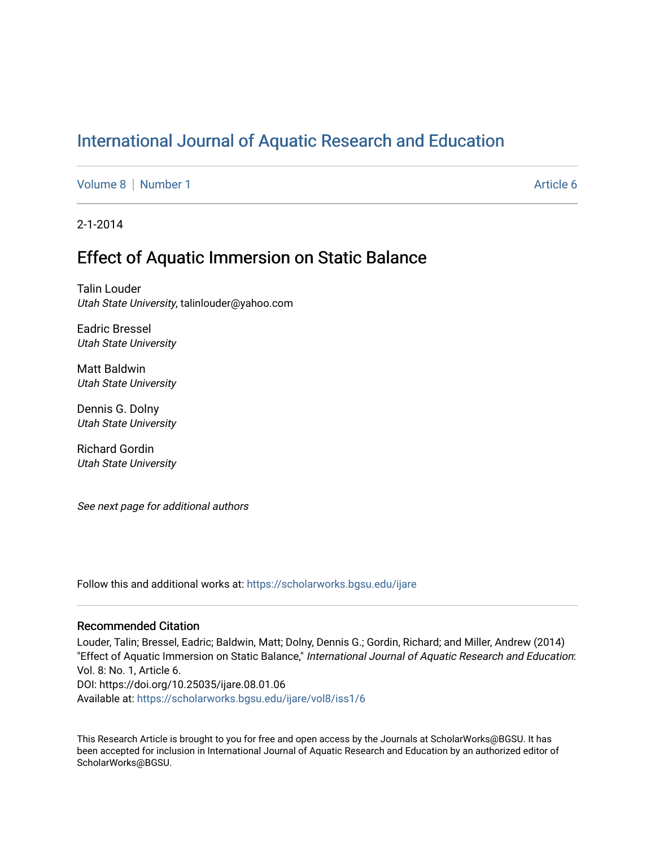# [International Journal of Aquatic Research and Education](https://scholarworks.bgsu.edu/ijare)

[Volume 8](https://scholarworks.bgsu.edu/ijare/vol8) | [Number 1](https://scholarworks.bgsu.edu/ijare/vol8/iss1) Article 6

2-1-2014

# Effect of Aquatic Immersion on Static Balance

Talin Louder Utah State University, talinlouder@yahoo.com

Eadric Bressel Utah State University

Matt Baldwin Utah State University

Dennis G. Dolny Utah State University

Richard Gordin Utah State University

See next page for additional authors

Follow this and additional works at: [https://scholarworks.bgsu.edu/ijare](https://scholarworks.bgsu.edu/ijare?utm_source=scholarworks.bgsu.edu%2Fijare%2Fvol8%2Fiss1%2F6&utm_medium=PDF&utm_campaign=PDFCoverPages) 

### Recommended Citation

Louder, Talin; Bressel, Eadric; Baldwin, Matt; Dolny, Dennis G.; Gordin, Richard; and Miller, Andrew (2014) "Effect of Aquatic Immersion on Static Balance," International Journal of Aquatic Research and Education: Vol. 8: No. 1, Article 6. DOI: https://doi.org/10.25035/ijare.08.01.06 Available at: [https://scholarworks.bgsu.edu/ijare/vol8/iss1/6](https://scholarworks.bgsu.edu/ijare/vol8/iss1/6?utm_source=scholarworks.bgsu.edu%2Fijare%2Fvol8%2Fiss1%2F6&utm_medium=PDF&utm_campaign=PDFCoverPages) 

This Research Article is brought to you for free and open access by the Journals at ScholarWorks@BGSU. It has been accepted for inclusion in International Journal of Aquatic Research and Education by an authorized editor of ScholarWorks@BGSU.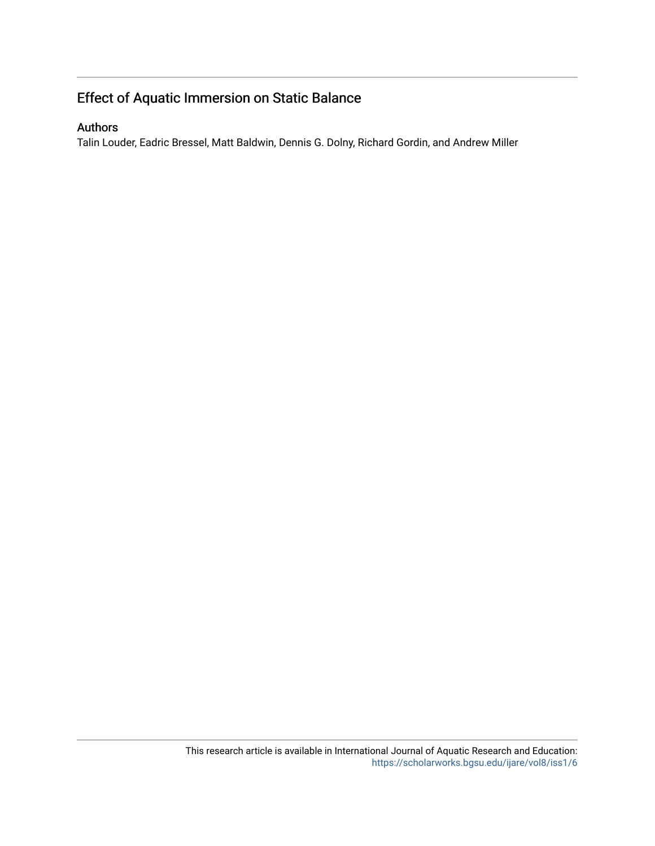# Effect of Aquatic Immersion on Static Balance

## Authors

Talin Louder, Eadric Bressel, Matt Baldwin, Dennis G. Dolny, Richard Gordin, and Andrew Miller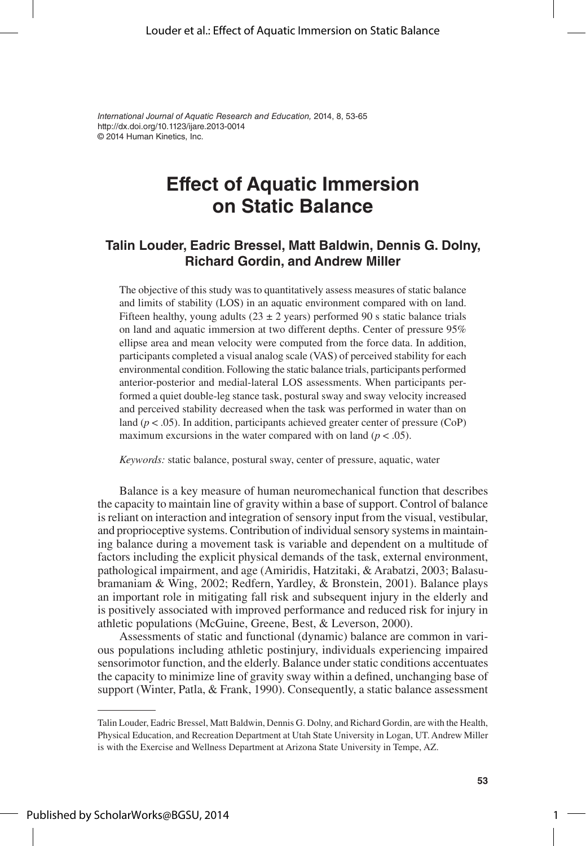*International Journal of Aquatic Research and Education,* 2014, 8, 53-65 © 2014 Human Kinetics, Inc. http://dx.doi.org/10.1123/ijare.2013-0014

# **Effect of Aquatic Immersion on Static Balance**

### **Talin Louder, Eadric Bressel, Matt Baldwin, Dennis G. Dolny, Richard Gordin, and Andrew Miller**

The objective of this study was to quantitatively assess measures of static balance and limits of stability (LOS) in an aquatic environment compared with on land. Fifteen healthy, young adults ( $23 \pm 2$  years) performed 90 s static balance trials on land and aquatic immersion at two different depths. Center of pressure 95% ellipse area and mean velocity were computed from the force data. In addition, participants completed a visual analog scale (VAS) of perceived stability for each environmental condition. Following the static balance trials, participants performed anterior-posterior and medial-lateral LOS assessments. When participants performed a quiet double-leg stance task, postural sway and sway velocity increased and perceived stability decreased when the task was performed in water than on land ( $p < .05$ ). In addition, participants achieved greater center of pressure ( $CoP$ ) maximum excursions in the water compared with on land  $(p < .05)$ .

*Keywords:* static balance, postural sway, center of pressure, aquatic, water

Balance is a key measure of human neuromechanical function that describes the capacity to maintain line of gravity within a base of support. Control of balance is reliant on interaction and integration of sensory input from the visual, vestibular, and proprioceptive systems. Contribution of individual sensory systems in maintaining balance during a movement task is variable and dependent on a multitude of factors including the explicit physical demands of the task, external environment, pathological impairment, and age (Amiridis, Hatzitaki, & Arabatzi, 2003; Balasubramaniam & Wing, 2002; Redfern, Yardley, & Bronstein, 2001). Balance plays an important role in mitigating fall risk and subsequent injury in the elderly and is positively associated with improved performance and reduced risk for injury in athletic populations (McGuine, Greene, Best, & Leverson, 2000).

Assessments of static and functional (dynamic) balance are common in various populations including athletic postinjury, individuals experiencing impaired sensorimotor function, and the elderly. Balance under static conditions accentuates the capacity to minimize line of gravity sway within a defined, unchanging base of support (Winter, Patla, & Frank, 1990). Consequently, a static balance assessment

1

Talin Louder, Eadric Bressel, Matt Baldwin, Dennis G. Dolny, and Richard Gordin, are with the Health, Physical Education, and Recreation Department at Utah State University in Logan, UT. Andrew Miller is with the Exercise and Wellness Department at Arizona State University in Tempe, AZ.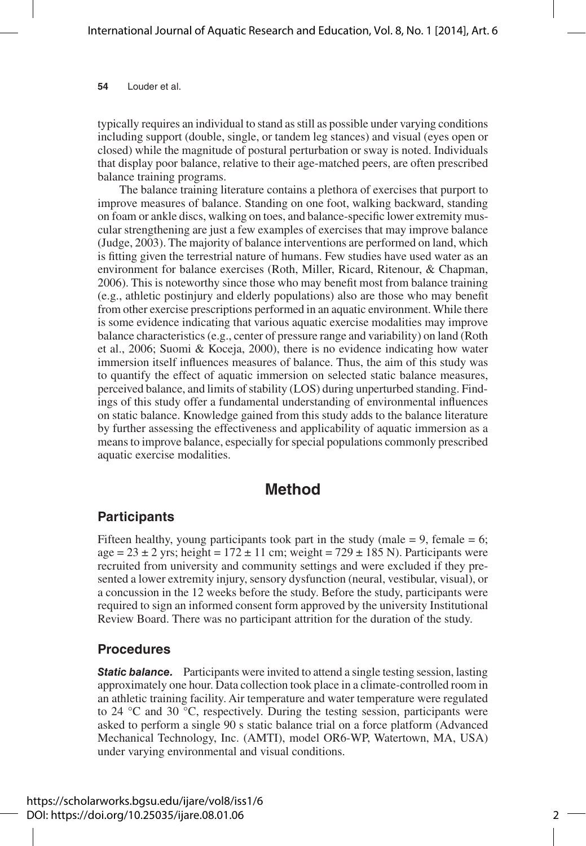typically requires an individual to stand as still as possible under varying conditions including support (double, single, or tandem leg stances) and visual (eyes open or closed) while the magnitude of postural perturbation or sway is noted. Individuals that display poor balance, relative to their age-matched peers, are often prescribed balance training programs.

The balance training literature contains a plethora of exercises that purport to improve measures of balance. Standing on one foot, walking backward, standing on foam or ankle discs, walking on toes, and balance-specific lower extremity muscular strengthening are just a few examples of exercises that may improve balance (Judge, 2003). The majority of balance interventions are performed on land, which is fitting given the terrestrial nature of humans. Few studies have used water as an environment for balance exercises (Roth, Miller, Ricard, Ritenour, & Chapman, 2006). This is noteworthy since those who may benefit most from balance training (e.g., athletic postinjury and elderly populations) also are those who may benefit from other exercise prescriptions performed in an aquatic environment. While there is some evidence indicating that various aquatic exercise modalities may improve balance characteristics (e.g., center of pressure range and variability) on land (Roth et al., 2006; Suomi & Koceja, 2000), there is no evidence indicating how water immersion itself influences measures of balance. Thus, the aim of this study was to quantify the effect of aquatic immersion on selected static balance measures, perceived balance, and limits of stability (LOS) during unperturbed standing. Findings of this study offer a fundamental understanding of environmental influences on static balance. Knowledge gained from this study adds to the balance literature by further assessing the effectiveness and applicability of aquatic immersion as a means to improve balance, especially for special populations commonly prescribed aquatic exercise modalities.

### **Method**

### **Participants**

Fifteen healthy, young participants took part in the study (male  $= 9$ , female  $= 6$ ;  $age = 23 \pm 2$  yrs; height = 172  $\pm$  11 cm; weight = 729  $\pm$  185 N). Participants were recruited from university and community settings and were excluded if they presented a lower extremity injury, sensory dysfunction (neural, vestibular, visual), or a concussion in the 12 weeks before the study. Before the study, participants were required to sign an informed consent form approved by the university Institutional Review Board. There was no participant attrition for the duration of the study.

### **Procedures**

**Static balance.** Participants were invited to attend a single testing session, lasting approximately one hour. Data collection took place in a climate-controlled room in an athletic training facility. Air temperature and water temperature were regulated to 24 °C and 30 °C, respectively. During the testing session, participants were asked to perform a single 90 s static balance trial on a force platform (Advanced Mechanical Technology, Inc. (AMTI), model OR6-WP, Watertown, MA, USA) under varying environmental and visual conditions.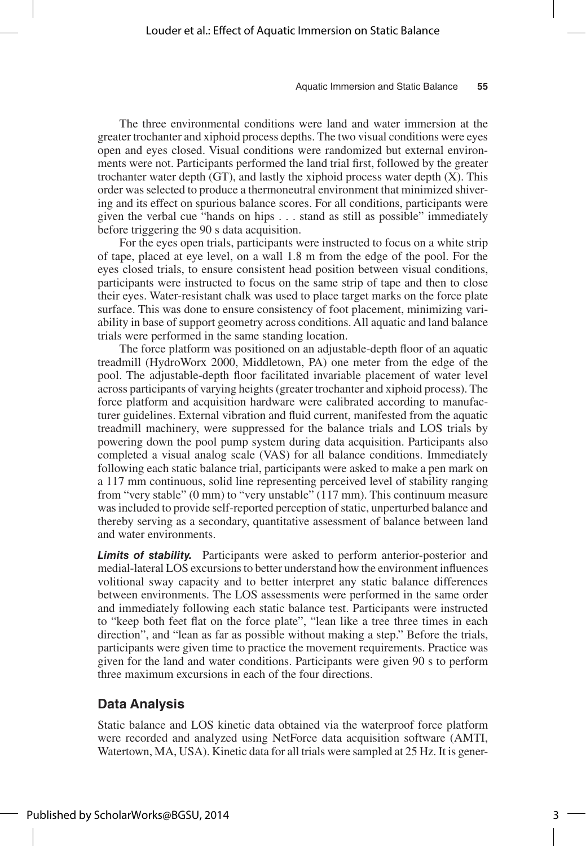The three environmental conditions were land and water immersion at the greater trochanter and xiphoid process depths. The two visual conditions were eyes open and eyes closed. Visual conditions were randomized but external environments were not. Participants performed the land trial first, followed by the greater trochanter water depth  $(T)$ , and lastly the xiphoid process water depth  $(X)$ . This order was selected to produce a thermoneutral environment that minimized shivering and its effect on spurious balance scores. For all conditions, participants were given the verbal cue "hands on hips . . . stand as still as possible" immediately before triggering the 90 s data acquisition.

For the eyes open trials, participants were instructed to focus on a white strip of tape, placed at eye level, on a wall 1.8 m from the edge of the pool. For the eyes closed trials, to ensure consistent head position between visual conditions, participants were instructed to focus on the same strip of tape and then to close their eyes. Water-resistant chalk was used to place target marks on the force plate surface. This was done to ensure consistency of foot placement, minimizing variability in base of support geometry across conditions. All aquatic and land balance trials were performed in the same standing location.

The force platform was positioned on an adjustable-depth floor of an aquatic treadmill (HydroWorx 2000, Middletown, PA) one meter from the edge of the pool. The adjustable-depth floor facilitated invariable placement of water level across participants of varying heights (greater trochanter and xiphoid process). The force platform and acquisition hardware were calibrated according to manufacturer guidelines. External vibration and fluid current, manifested from the aquatic treadmill machinery, were suppressed for the balance trials and LOS trials by powering down the pool pump system during data acquisition. Participants also completed a visual analog scale (VAS) for all balance conditions. Immediately following each static balance trial, participants were asked to make a pen mark on a 117 mm continuous, solid line representing perceived level of stability ranging from "very stable" (0 mm) to "very unstable" (117 mm). This continuum measure was included to provide self-reported perception of static, unperturbed balance and thereby serving as a secondary, quantitative assessment of balance between land and water environments.

*Limits of stability.* Participants were asked to perform anterior-posterior and medial-lateral LOS excursions to better understand how the environment influences volitional sway capacity and to better interpret any static balance differences between environments. The LOS assessments were performed in the same order and immediately following each static balance test. Participants were instructed to "keep both feet flat on the force plate", "lean like a tree three times in each direction", and "lean as far as possible without making a step." Before the trials, participants were given time to practice the movement requirements. Practice was given for the land and water conditions. Participants were given 90 s to perform three maximum excursions in each of the four directions.

### **Data Analysis**

Static balance and LOS kinetic data obtained via the waterproof force platform were recorded and analyzed using NetForce data acquisition software (AMTI, Watertown, MA, USA). Kinetic data for all trials were sampled at 25 Hz. It is gener-

3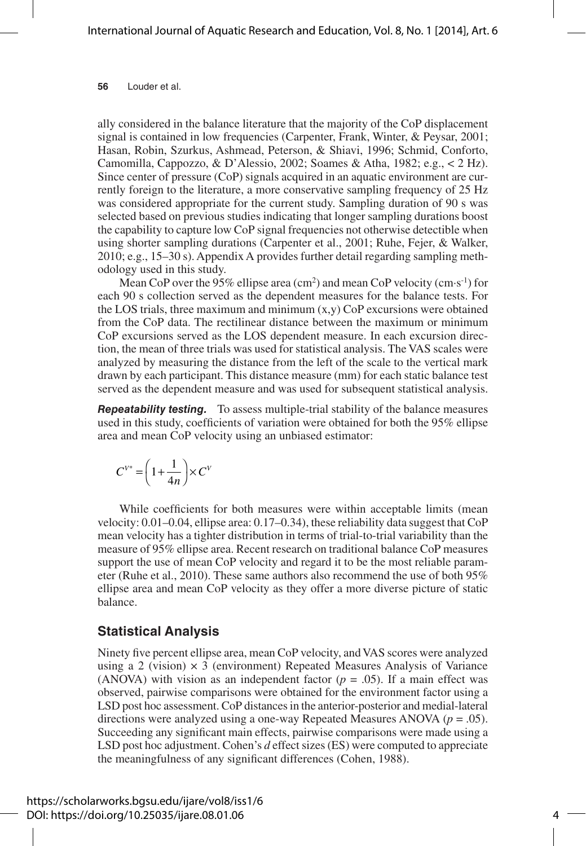ally considered in the balance literature that the majority of the CoP displacement signal is contained in low frequencies (Carpenter, Frank, Winter, & Peysar, 2001; Hasan, Robin, Szurkus, Ashmead, Peterson, & Shiavi, 1996; Schmid, Conforto, Camomilla, Cappozzo, & D'Alessio, 2002; Soames & Atha, 1982; e.g., < 2 Hz). Since center of pressure (CoP) signals acquired in an aquatic environment are currently foreign to the literature, a more conservative sampling frequency of 25 Hz was considered appropriate for the current study. Sampling duration of 90 s was selected based on previous studies indicating that longer sampling durations boost the capability to capture low CoP signal frequencies not otherwise detectible when using shorter sampling durations (Carpenter et al., 2001; Ruhe, Fejer, & Walker, 2010; e.g., 15–30 s). Appendix A provides further detail regarding sampling methodology used in this study.

Mean CoP over the 95% ellipse area  $(cm<sup>2</sup>)$  and mean CoP velocity  $(cm·s<sup>-1</sup>)$  for each 90 s collection served as the dependent measures for the balance tests. For the LOS trials, three maximum and minimum  $(x,y)$  CoP excursions were obtained from the CoP data. The rectilinear distance between the maximum or minimum CoP excursions served as the LOS dependent measure. In each excursion direction, the mean of three trials was used for statistical analysis. The VAS scales were analyzed by measuring the distance from the left of the scale to the vertical mark drawn by each participant. This distance measure (mm) for each static balance test served as the dependent measure and was used for subsequent statistical analysis.

*Repeatability testing.* To assess multiple-trial stability of the balance measures used in this study, coefficients of variation were obtained for both the 95% ellipse area and mean CoP velocity using an unbiased estimator:

$$
C^{V^*} = \left(1 + \frac{1}{4n}\right) \times C^V
$$

While coefficients for both measures were within acceptable limits (mean velocity: 0.01–0.04, ellipse area: 0.17–0.34), these reliability data suggest that CoP mean velocity has a tighter distribution in terms of trial-to-trial variability than the measure of 95% ellipse area. Recent research on traditional balance CoP measures support the use of mean CoP velocity and regard it to be the most reliable parameter (Ruhe et al., 2010). These same authors also recommend the use of both 95% ellipse area and mean CoP velocity as they offer a more diverse picture of static balance.

#### **Statistical Analysis**

Ninety five percent ellipse area, mean CoP velocity, and VAS scores were analyzed using a 2 (vision)  $\times$  3 (environment) Repeated Measures Analysis of Variance (ANOVA) with vision as an independent factor  $(p = .05)$ . If a main effect was observed, pairwise comparisons were obtained for the environment factor using a LSD post hoc assessment. CoP distances in the anterior-posterior and medial-lateral directions were analyzed using a one-way Repeated Measures ANOVA ( $p = .05$ ). Succeeding any significant main effects, pairwise comparisons were made using a LSD post hoc adjustment. Cohen's *d* effect sizes (ES) were computed to appreciate the meaningfulness of any significant differences (Cohen, 1988).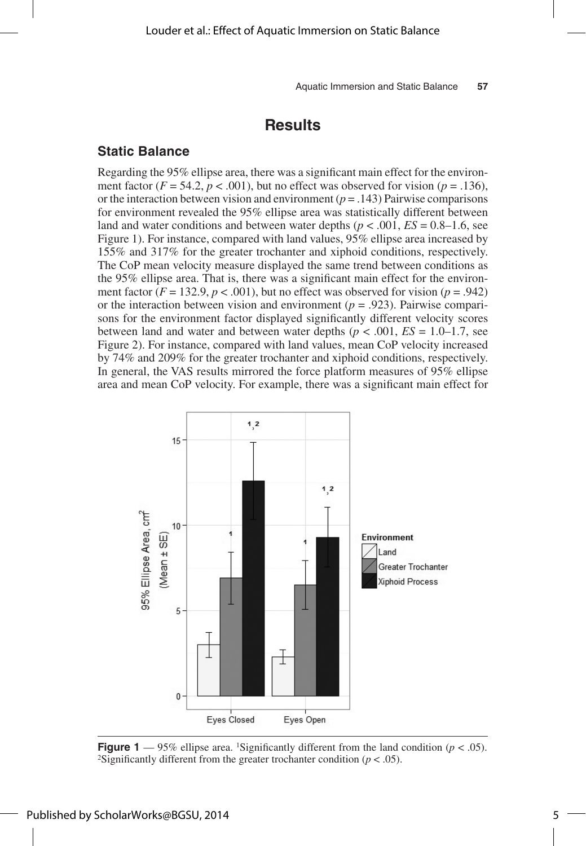### **Results**

#### **Static Balance**

Regarding the 95% ellipse area, there was a significant main effect for the environment factor  $(F = 54.2, p < .001)$ , but no effect was observed for vision  $(p = .136)$ , or the interaction between vision and environment  $(p = .143)$  Pairwise comparisons for environment revealed the 95% ellipse area was statistically different between land and water conditions and between water depths  $(p < .001, ES = 0.8-1.6,$  see Figure 1). For instance, compared with land values, 95% ellipse area increased by 155% and 317% for the greater trochanter and xiphoid conditions, respectively. The CoP mean velocity measure displayed the same trend between conditions as the 95% ellipse area. That is, there was a significant main effect for the environment factor  $(F = 132.9, p < .001)$ , but no effect was observed for vision  $(p = .942)$ or the interaction between vision and environment ( $p = .923$ ). Pairwise comparisons for the environment factor displayed significantly different velocity scores between land and water and between water depths ( $p < .001$ ,  $ES = 1.0 - 1.7$ , see Figure 2). For instance, compared with land values, mean CoP velocity increased by 74% and 209% for the greater trochanter and xiphoid conditions, respectively. In general, the VAS results mirrored the force platform measures of 95% ellipse area and mean CoP velocity. For example, there was a significant main effect for



**Figure 1** — 95% ellipse area. <sup>1</sup>Significantly different from the land condition ( $p < .05$ ). <sup>2</sup>Significantly different from the greater trochanter condition ( $p < .05$ ).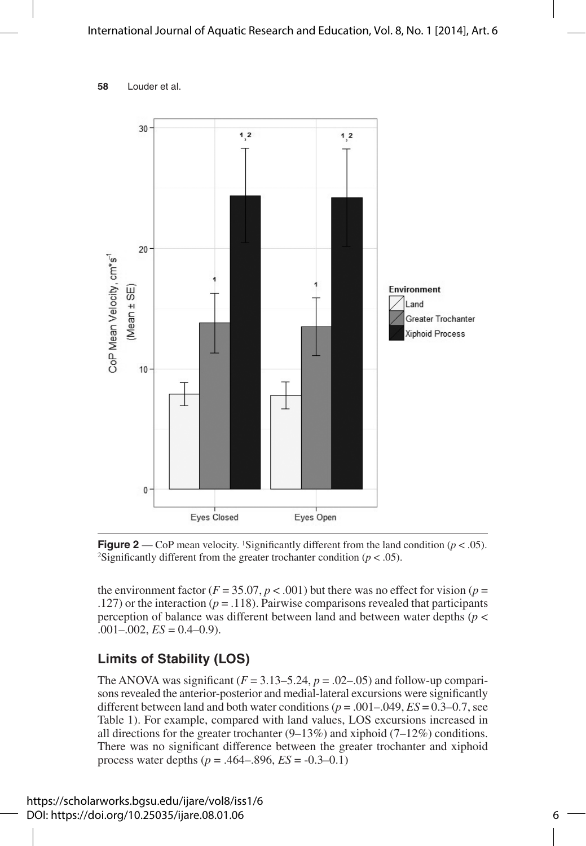### International Journal of Aquatic Research and Education, Vol. 8, No. 1 [2014], Art. 6

**<sup>58</sup>** Louder et al.



**Figure 2** — CoP mean velocity. <sup>1</sup>Significantly different from the land condition ( $p < .05$ ). <sup>2</sup>Significantly different from the greater trochanter condition ( $p < .05$ ).

the environment factor ( $F = 35.07$ ,  $p < .001$ ) but there was no effect for vision ( $p =$ .127) or the interaction ( $p = .118$ ). Pairwise comparisons revealed that participants perception of balance was different between land and between water depths (*p* <  $.001 - .002$ ,  $ES = 0.4 - 0.9$ ).

### **Limits of Stability (LOS)**

The ANOVA was significant  $(F = 3.13 - 5.24, p = .02 - .05)$  and follow-up comparisons revealed the anterior-posterior and medial-lateral excursions were significantly different between land and both water conditions ( $p = .001 - .049$ ,  $ES = 0.3 - 0.7$ , see Table 1). For example, compared with land values, LOS excursions increased in all directions for the greater trochanter  $(9-13\%)$  and xiphoid  $(7-12\%)$  conditions. There was no significant difference between the greater trochanter and xiphoid process water depths ( $p = .464-.896$ ,  $ES = -0.3-0.1$ )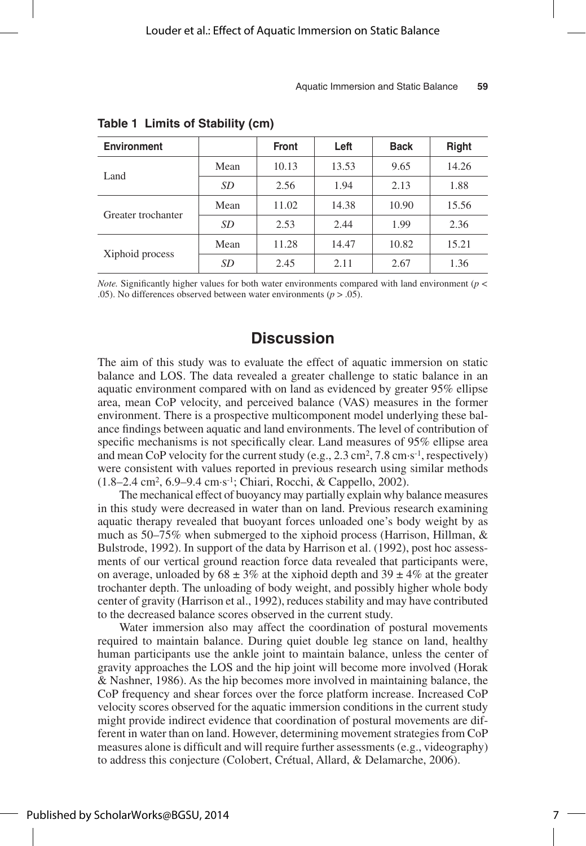| <b>Environment</b> |      | <b>Front</b> | Left  | <b>Back</b> | <b>Right</b> |
|--------------------|------|--------------|-------|-------------|--------------|
| Land               | Mean | 10.13        | 13.53 | 9.65        | 14.26        |
|                    | SD   | 2.56         | 1.94  | 2.13        | 1.88         |
| Greater trochanter | Mean | 11.02        | 14.38 | 10.90       | 15.56        |
|                    | SD   | 2.53         | 2.44  | 1.99        | 2.36         |
| Xiphoid process    | Mean | 11.28        | 14.47 | 10.82       | 15.21        |
|                    | SD   | 2.45         | 2.11  | 2.67        | 1.36         |

**Table 1 Limits of Stability (cm)**

*Note.* Significantly higher values for both water environments compared with land environment (*p* < .05). No differences observed between water environments  $(p > .05)$ .

### **Discussion**

The aim of this study was to evaluate the effect of aquatic immersion on static balance and LOS. The data revealed a greater challenge to static balance in an aquatic environment compared with on land as evidenced by greater 95% ellipse area, mean CoP velocity, and perceived balance (VAS) measures in the former environment. There is a prospective multicomponent model underlying these balance findings between aquatic and land environments. The level of contribution of specific mechanisms is not specifically clear. Land measures of 95% ellipse area and mean CoP velocity for the current study (e.g.,  $2.3 \text{ cm}^2$ ,  $7.8 \text{ cm} \cdot \text{s}^{-1}$ , respectively) were consistent with values reported in previous research using similar methods (1.8–2.4 cm2, 6.9–9.4 cm·s-1; Chiari, Rocchi, & Cappello, 2002).

The mechanical effect of buoyancy may partially explain why balance measures in this study were decreased in water than on land. Previous research examining aquatic therapy revealed that buoyant forces unloaded one's body weight by as much as 50–75% when submerged to the xiphoid process (Harrison, Hillman, & Bulstrode, 1992). In support of the data by Harrison et al. (1992), post hoc assessments of our vertical ground reaction force data revealed that participants were, on average, unloaded by  $68 \pm 3\%$  at the xiphoid depth and  $39 \pm 4\%$  at the greater trochanter depth. The unloading of body weight, and possibly higher whole body center of gravity (Harrison et al., 1992), reduces stability and may have contributed to the decreased balance scores observed in the current study.

Water immersion also may affect the coordination of postural movements required to maintain balance. During quiet double leg stance on land, healthy human participants use the ankle joint to maintain balance, unless the center of gravity approaches the LOS and the hip joint will become more involved (Horak & Nashner, 1986). As the hip becomes more involved in maintaining balance, the CoP frequency and shear forces over the force platform increase. Increased CoP velocity scores observed for the aquatic immersion conditions in the current study might provide indirect evidence that coordination of postural movements are different in water than on land. However, determining movement strategies from CoP measures alone is difficult and will require further assessments (e.g., videography) to address this conjecture (Colobert, Crétual, Allard, & Delamarche, 2006).

7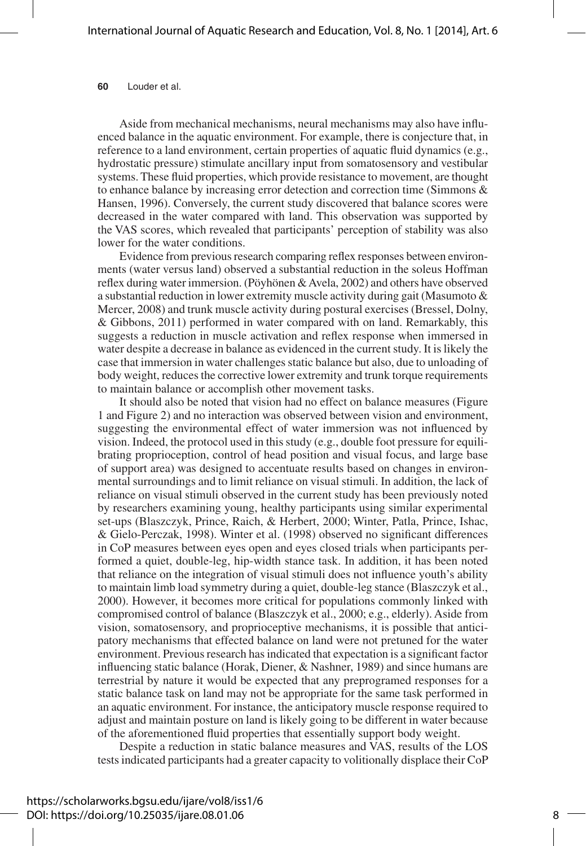Aside from mechanical mechanisms, neural mechanisms may also have influenced balance in the aquatic environment. For example, there is conjecture that, in reference to a land environment, certain properties of aquatic fluid dynamics (e.g., hydrostatic pressure) stimulate ancillary input from somatosensory and vestibular systems. These fluid properties, which provide resistance to movement, are thought to enhance balance by increasing error detection and correction time (Simmons & Hansen, 1996). Conversely, the current study discovered that balance scores were decreased in the water compared with land. This observation was supported by the VAS scores, which revealed that participants' perception of stability was also lower for the water conditions.

Evidence from previous research comparing reflex responses between environments (water versus land) observed a substantial reduction in the soleus Hoffman reflex during water immersion. (Pöyhönen & Avela, 2002) and others have observed a substantial reduction in lower extremity muscle activity during gait (Masumoto & Mercer, 2008) and trunk muscle activity during postural exercises (Bressel, Dolny, & Gibbons, 2011) performed in water compared with on land. Remarkably, this suggests a reduction in muscle activation and reflex response when immersed in water despite a decrease in balance as evidenced in the current study. It is likely the case that immersion in water challenges static balance but also, due to unloading of body weight, reduces the corrective lower extremity and trunk torque requirements to maintain balance or accomplish other movement tasks.

It should also be noted that vision had no effect on balance measures (Figure 1 and Figure 2) and no interaction was observed between vision and environment, suggesting the environmental effect of water immersion was not influenced by vision. Indeed, the protocol used in this study (e.g., double foot pressure for equilibrating proprioception, control of head position and visual focus, and large base of support area) was designed to accentuate results based on changes in environmental surroundings and to limit reliance on visual stimuli. In addition, the lack of reliance on visual stimuli observed in the current study has been previously noted by researchers examining young, healthy participants using similar experimental set-ups (Blaszczyk, Prince, Raich, & Herbert, 2000; Winter, Patla, Prince, Ishac, & Gielo-Perczak, 1998). Winter et al. (1998) observed no significant differences in CoP measures between eyes open and eyes closed trials when participants performed a quiet, double-leg, hip-width stance task. In addition, it has been noted that reliance on the integration of visual stimuli does not influence youth's ability to maintain limb load symmetry during a quiet, double-leg stance (Blaszczyk et al., 2000). However, it becomes more critical for populations commonly linked with compromised control of balance (Blaszczyk et al., 2000; e.g., elderly). Aside from vision, somatosensory, and proprioceptive mechanisms, it is possible that anticipatory mechanisms that effected balance on land were not pretuned for the water environment. Previous research has indicated that expectation is a significant factor influencing static balance (Horak, Diener, & Nashner, 1989) and since humans are terrestrial by nature it would be expected that any preprogramed responses for a static balance task on land may not be appropriate for the same task performed in an aquatic environment. For instance, the anticipatory muscle response required to adjust and maintain posture on land is likely going to be different in water because of the aforementioned fluid properties that essentially support body weight.

Despite a reduction in static balance measures and VAS, results of the LOS tests indicated participants had a greater capacity to volitionally displace their CoP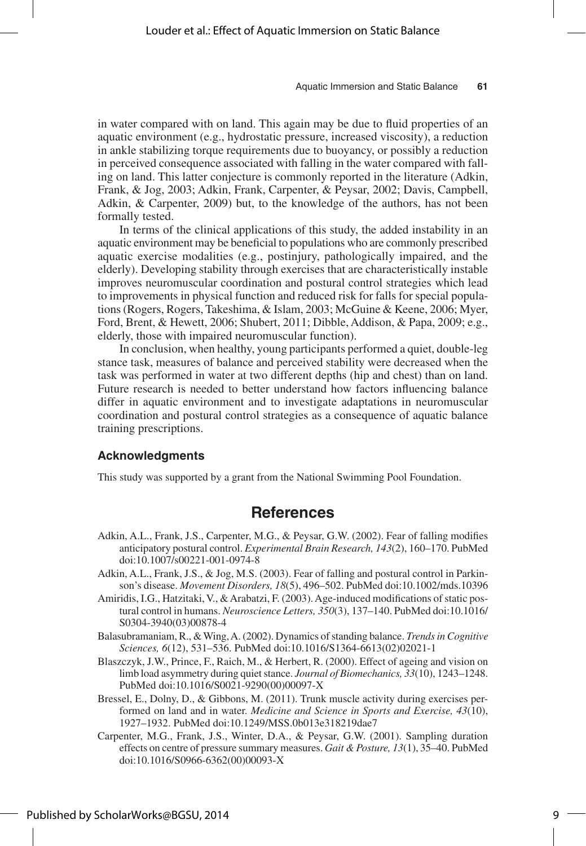in water compared with on land. This again may be due to fluid properties of an aquatic environment (e.g., hydrostatic pressure, increased viscosity), a reduction in ankle stabilizing torque requirements due to buoyancy, or possibly a reduction in perceived consequence associated with falling in the water compared with falling on land. This latter conjecture is commonly reported in the literature (Adkin, Frank, & Jog, 2003; Adkin, Frank, Carpenter, & Peysar, 2002; Davis, Campbell, Adkin, & Carpenter, 2009) but, to the knowledge of the authors, has not been formally tested.

In terms of the clinical applications of this study, the added instability in an aquatic environment may be beneficial to populations who are commonly prescribed aquatic exercise modalities (e.g., postinjury, pathologically impaired, and the elderly). Developing stability through exercises that are characteristically instable improves neuromuscular coordination and postural control strategies which lead to improvements in physical function and reduced risk for falls for special populations (Rogers, Rogers, Takeshima, & Islam, 2003; McGuine & Keene, 2006; Myer, Ford, Brent, & Hewett, 2006; Shubert, 2011; Dibble, Addison, & Papa, 2009; e.g., elderly, those with impaired neuromuscular function).

In conclusion, when healthy, young participants performed a quiet, double-leg stance task, measures of balance and perceived stability were decreased when the task was performed in water at two different depths (hip and chest) than on land. Future research is needed to better understand how factors influencing balance differ in aquatic environment and to investigate adaptations in neuromuscular coordination and postural control strategies as a consequence of aquatic balance training prescriptions.

#### **Acknowledgments**

This study was supported by a grant from the National Swimming Pool Foundation.

### **References**

- Adkin, A.L., Frank, J.S., Carpenter, M.G., & Peysar, G.W. (2002). Fear of falling modifies anticipatory postural control. *Experimental Brain Research, 143*(2), 160–170. PubMed doi:10.1007/s00221-001-0974-8
- Adkin, A.L., Frank, J.S., & Jog, M.S. (2003). Fear of falling and postural control in Parkinson's disease. *Movement Disorders, 18*(5), 496–502. PubMed doi:10.1002/mds.10396
- Amiridis, I.G., Hatzitaki, V., & Arabatzi, F. (2003). Age-induced modifications of static postural control in humans. *Neuroscience Letters, 350*(3), 137–140. PubMed doi:10.1016/ S0304-3940(03)00878-4
- Balasubramaniam, R., & Wing, A. (2002). Dynamics of standing balance. *Trends in Cognitive Sciences, 6*(12), 531–536. PubMed doi:10.1016/S1364-6613(02)02021-1
- Blaszczyk, J.W., Prince, F., Raich, M., & Herbert, R. (2000). Effect of ageing and vision on limb load asymmetry during quiet stance. *Journal of Biomechanics, 33*(10), 1243–1248. PubMed doi:10.1016/S0021-9290(00)00097-X
- Bressel, E., Dolny, D., & Gibbons, M. (2011). Trunk muscle activity during exercises performed on land and in water. *Medicine and Science in Sports and Exercise, 43*(10), 1927–1932. PubMed doi:10.1249/MSS.0b013e318219dae7
- Carpenter, M.G., Frank, J.S., Winter, D.A., & Peysar, G.W. (2001). Sampling duration effects on centre of pressure summary measures. *Gait & Posture, 13*(1), 35–40. PubMed doi:10.1016/S0966-6362(00)00093-X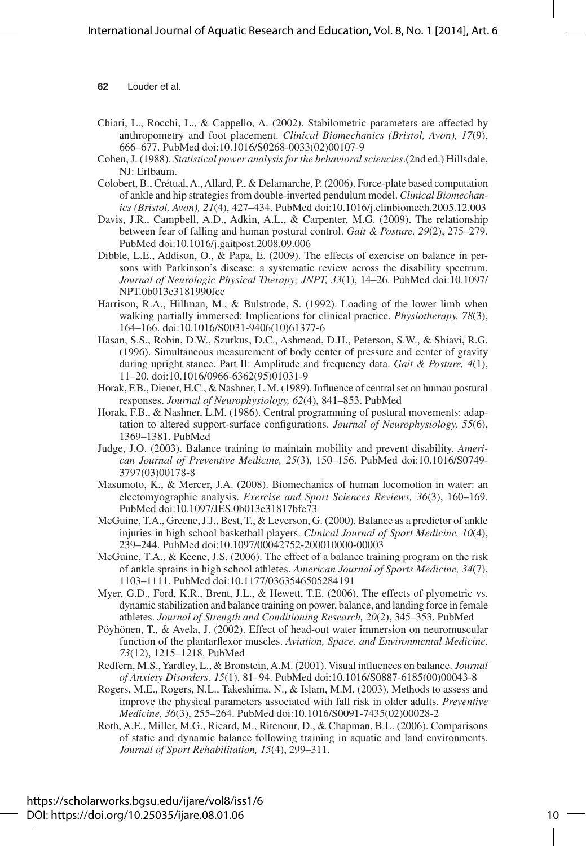- Chiari, L., Rocchi, L., & Cappello, A. (2002). Stabilometric parameters are affected by anthropometry and foot placement. *Clinical Biomechanics (Bristol, Avon), 17*(9), 666–677. PubMed doi:10.1016/S0268-0033(02)00107-9
- Cohen, J. (1988). *Statistical power analysis for the behavioral sciencies*.(2nd ed.) Hillsdale, NJ: Erlbaum.
- Colobert, B., Crétual, A., Allard, P., & Delamarche, P. (2006). Force-plate based computation of ankle and hip strategies from double-inverted pendulum model. *Clinical Biomechanics (Bristol, Avon), 21*(4), 427–434. PubMed doi:10.1016/j.clinbiomech.2005.12.003
- Davis, J.R., Campbell, A.D., Adkin, A.L., & Carpenter, M.G. (2009). The relationship between fear of falling and human postural control. *Gait & Posture, 29*(2), 275–279. PubMed doi:10.1016/j.gaitpost.2008.09.006
- Dibble, L.E., Addison, O., & Papa, E. (2009). The effects of exercise on balance in persons with Parkinson's disease: a systematic review across the disability spectrum. *Journal of Neurologic Physical Therapy; JNPT, 33*(1), 14–26. PubMed doi:10.1097/ NPT.0b013e3181990fcc
- Harrison, R.A., Hillman, M., & Bulstrode, S. (1992). Loading of the lower limb when walking partially immersed: Implications for clinical practice. *Physiotherapy, 78*(3), 164–166. doi:10.1016/S0031-9406(10)61377-6
- Hasan, S.S., Robin, D.W., Szurkus, D.C., Ashmead, D.H., Peterson, S.W., & Shiavi, R.G. (1996). Simultaneous measurement of body center of pressure and center of gravity during upright stance. Part II: Amplitude and frequency data. *Gait & Posture, 4*(1), 11–20. doi:10.1016/0966-6362(95)01031-9
- Horak, F.B., Diener, H.C., & Nashner, L.M. (1989). Influence of central set on human postural responses. *Journal of Neurophysiology, 62*(4), 841–853. PubMed
- Horak, F.B., & Nashner, L.M. (1986). Central programming of postural movements: adaptation to altered support-surface configurations. *Journal of Neurophysiology, 55*(6), 1369–1381. PubMed
- Judge, J.O. (2003). Balance training to maintain mobility and prevent disability. *American Journal of Preventive Medicine, 25*(3), 150–156. PubMed doi:10.1016/S0749- 3797(03)00178-8
- Masumoto, K., & Mercer, J.A. (2008). Biomechanics of human locomotion in water: an electomyographic analysis. *Exercise and Sport Sciences Reviews, 36*(3), 160–169. PubMed doi:10.1097/JES.0b013e31817bfe73
- McGuine, T.A., Greene, J.J., Best, T., & Leverson, G. (2000). Balance as a predictor of ankle injuries in high school basketball players. *Clinical Journal of Sport Medicine, 10*(4), 239–244. PubMed doi:10.1097/00042752-200010000-00003
- McGuine, T.A., & Keene, J.S. (2006). The effect of a balance training program on the risk of ankle sprains in high school athletes. *American Journal of Sports Medicine, 34*(7), 1103–1111. PubMed doi:10.1177/0363546505284191
- Myer, G.D., Ford, K.R., Brent, J.L., & Hewett, T.E. (2006). The effects of plyometric vs. dynamic stabilization and balance training on power, balance, and landing force in female athletes. *Journal of Strength and Conditioning Research, 20*(2), 345–353. PubMed
- Pöyhönen, T., & Avela, J. (2002). Effect of head-out water immersion on neuromuscular function of the plantarflexor muscles. *Aviation, Space, and Environmental Medicine, 73*(12), 1215–1218. PubMed
- Redfern, M.S., Yardley, L., & Bronstein, A.M. (2001). Visual influences on balance. *Journal of Anxiety Disorders, 15*(1), 81–94. PubMed doi:10.1016/S0887-6185(00)00043-8
- Rogers, M.E., Rogers, N.L., Takeshima, N., & Islam, M.M. (2003). Methods to assess and improve the physical parameters associated with fall risk in older adults. *Preventive Medicine, 36*(3), 255–264. PubMed doi:10.1016/S0091-7435(02)00028-2
- Roth, A.E., Miller, M.G., Ricard, M., Ritenour, D., & Chapman, B.L. (2006). Comparisons of static and dynamic balance following training in aquatic and land environments. *Journal of Sport Rehabilitation, 15*(4), 299–311.

https://scholarworks.bgsu.edu/ijare/vol8/iss1/6 DOI: https://doi.org/10.25035/ijare.08.01.06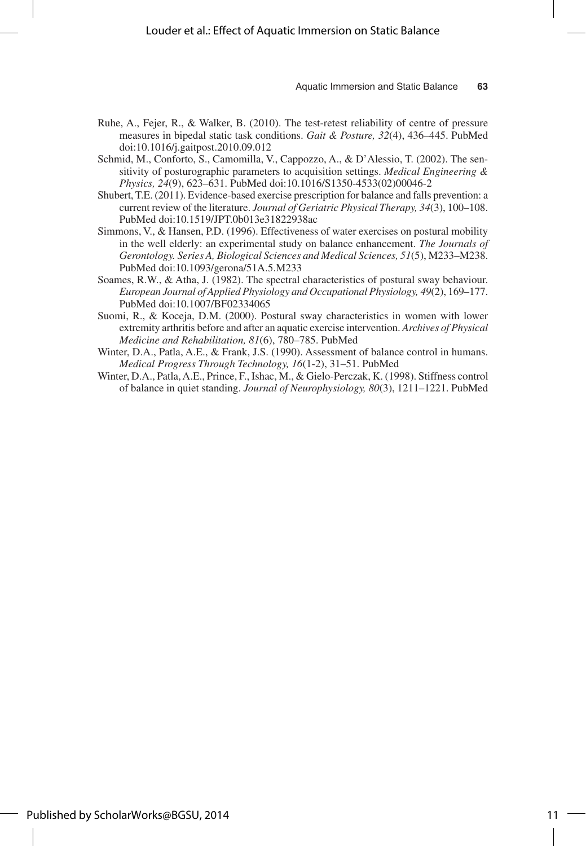- Ruhe, A., Fejer, R., & Walker, B. (2010). The test-retest reliability of centre of pressure measures in bipedal static task conditions. *Gait & Posture, 32*(4), 436–445. PubMed doi:10.1016/j.gaitpost.2010.09.012
- Schmid, M., Conforto, S., Camomilla, V., Cappozzo, A., & D'Alessio, T. (2002). The sensitivity of posturographic parameters to acquisition settings. *Medical Engineering & Physics, 24*(9), 623–631. PubMed doi:10.1016/S1350-4533(02)00046-2
- Shubert, T.E. (2011). Evidence-based exercise prescription for balance and falls prevention: a current review of the literature. *Journal of Geriatric Physical Therapy, 34*(3), 100–108. PubMed doi:10.1519/JPT.0b013e31822938ac
- Simmons, V., & Hansen, P.D. (1996). Effectiveness of water exercises on postural mobility in the well elderly: an experimental study on balance enhancement. *The Journals of Gerontology. Series A, Biological Sciences and Medical Sciences, 51*(5), M233–M238. PubMed doi:10.1093/gerona/51A.5.M233
- Soames, R.W., & Atha, J. (1982). The spectral characteristics of postural sway behaviour. *European Journal of Applied Physiology and Occupational Physiology, 49*(2), 169–177. PubMed doi:10.1007/BF02334065
- Suomi, R., & Koceja, D.M. (2000). Postural sway characteristics in women with lower extremity arthritis before and after an aquatic exercise intervention. *Archives of Physical Medicine and Rehabilitation, 81*(6), 780–785. PubMed
- Winter, D.A., Patla, A.E., & Frank, J.S. (1990). Assessment of balance control in humans. *Medical Progress Through Technology, 16*(1-2), 31–51. PubMed
- Winter, D.A., Patla, A.E., Prince, F., Ishac, M., & Gielo-Perczak, K. (1998). Stiffness control of balance in quiet standing. *Journal of Neurophysiology, 80*(3), 1211–1221. PubMed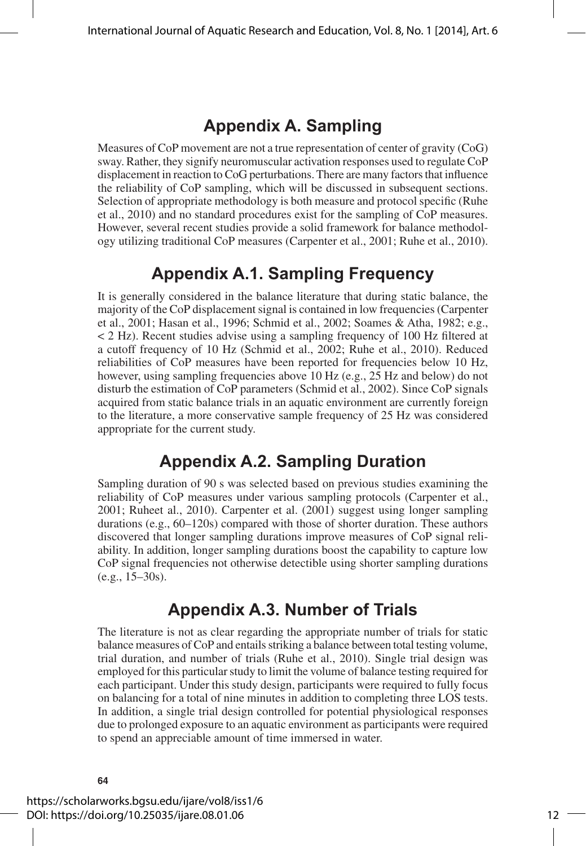## **Appendix A. Sampling**

Measures of CoP movement are not a true representation of center of gravity (CoG) sway. Rather, they signify neuromuscular activation responses used to regulate CoP displacement in reaction to CoG perturbations. There are many factors that influence the reliability of CoP sampling, which will be discussed in subsequent sections. Selection of appropriate methodology is both measure and protocol specific (Ruhe et al., 2010) and no standard procedures exist for the sampling of CoP measures. However, several recent studies provide a solid framework for balance methodology utilizing traditional CoP measures (Carpenter et al., 2001; Ruhe et al., 2010).

## **Appendix A.1. Sampling Frequency**

It is generally considered in the balance literature that during static balance, the majority of the CoP displacement signal is contained in low frequencies (Carpenter et al., 2001; Hasan et al., 1996; Schmid et al., 2002; Soames & Atha, 1982; e.g., < 2 Hz). Recent studies advise using a sampling frequency of 100 Hz filtered at a cutoff frequency of 10 Hz (Schmid et al., 2002; Ruhe et al., 2010). Reduced reliabilities of CoP measures have been reported for frequencies below 10 Hz, however, using sampling frequencies above 10 Hz (e.g., 25 Hz and below) do not disturb the estimation of CoP parameters (Schmid et al., 2002). Since CoP signals acquired from static balance trials in an aquatic environment are currently foreign to the literature, a more conservative sample frequency of 25 Hz was considered appropriate for the current study.

## **Appendix A.2. Sampling Duration**

Sampling duration of 90 s was selected based on previous studies examining the reliability of CoP measures under various sampling protocols (Carpenter et al., 2001; Ruheet al., 2010). Carpenter et al. (2001) suggest using longer sampling durations (e.g., 60–120s) compared with those of shorter duration. These authors discovered that longer sampling durations improve measures of CoP signal reliability. In addition, longer sampling durations boost the capability to capture low CoP signal frequencies not otherwise detectible using shorter sampling durations (e.g., 15–30s).

## **Appendix A.3. Number of Trials**

The literature is not as clear regarding the appropriate number of trials for static balance measures of CoP and entails striking a balance between total testing volume, trial duration, and number of trials (Ruhe et al., 2010). Single trial design was employed for this particular study to limit the volume of balance testing required for each participant. Under this study design, participants were required to fully focus on balancing for a total of nine minutes in addition to completing three LOS tests. In addition, a single trial design controlled for potential physiological responses due to prolonged exposure to an aquatic environment as participants were required to spend an appreciable amount of time immersed in water.

https://scholarworks.bgsu.edu/ijare/vol8/iss1/6 DOI: https://doi.org/10.25035/ijare.08.01.06